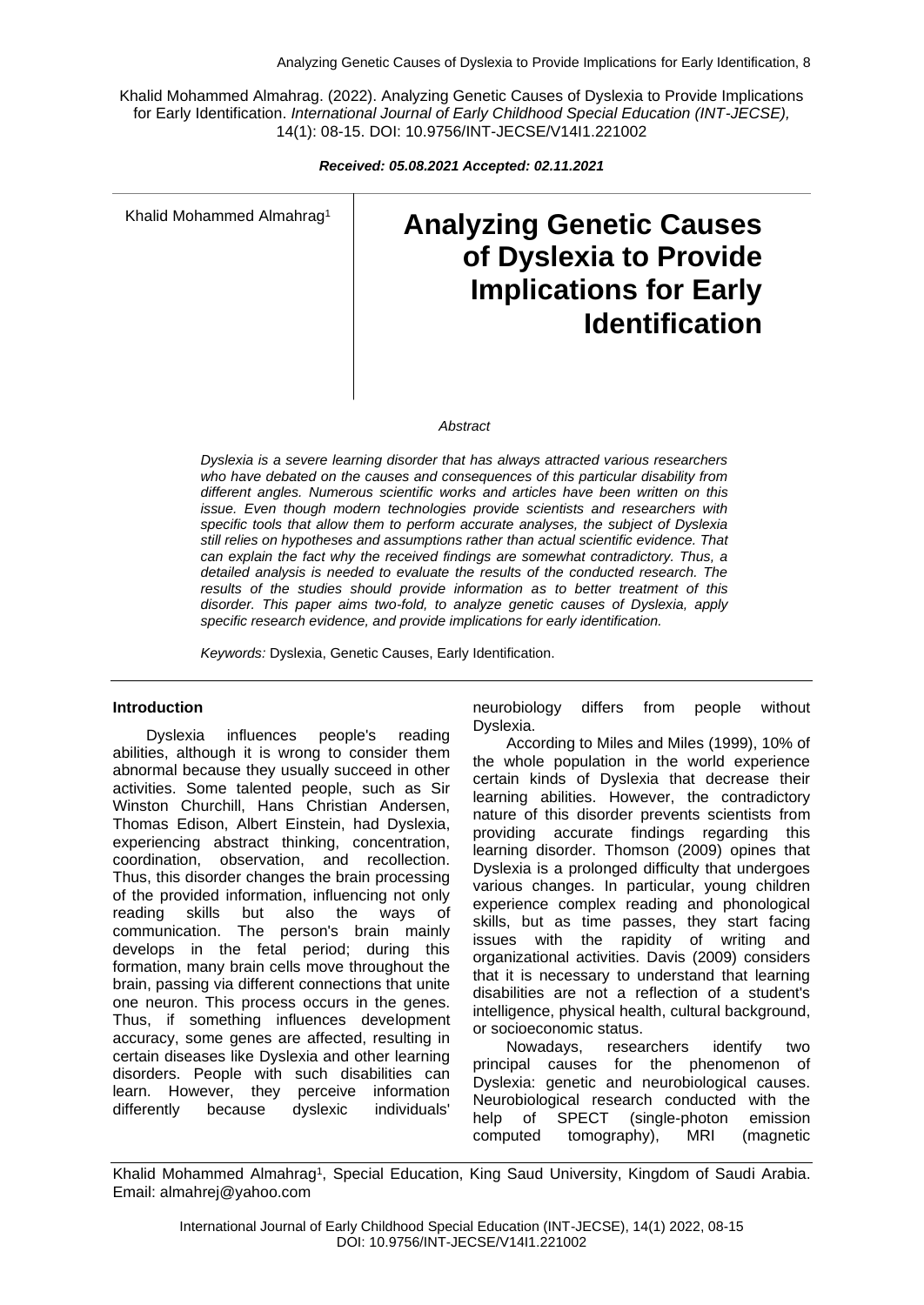Khalid Mohammed Almahrag. (2022). Analyzing Genetic Causes of Dyslexia to Provide Implications for Early Identification. *International Journal of Early Childhood Special Education (INT-JECSE),* 14(1): 08-15. DOI: 10.9756/INT-JECSE/V14I1.221002

*Received: 05.08.2021 Accepted: 02.11.2021*

Khalid Mohammed Almahrag<sup>1</sup>

# **Analyzing Genetic Causes of Dyslexia to Provide Implications for Early Identification**

#### *Abstract*

*Dyslexia is a severe learning disorder that has always attracted various researchers who have debated on the causes and consequences of this particular disability from different angles. Numerous scientific works and articles have been written on this issue. Even though modern technologies provide scientists and researchers with specific tools that allow them to perform accurate analyses, the subject of Dyslexia still relies on hypotheses and assumptions rather than actual scientific evidence. That can explain the fact why the received findings are somewhat contradictory. Thus, a detailed analysis is needed to evaluate the results of the conducted research. The results of the studies should provide information as to better treatment of this disorder. This paper aims two-fold, to analyze genetic causes of Dyslexia, apply specific research evidence, and provide implications for early identification.*

*Keywords:* Dyslexia, Genetic Causes, Early Identification.

#### **Introduction**

Dyslexia influences people's reading abilities, although it is wrong to consider them abnormal because they usually succeed in other activities. Some talented people, such as Sir Winston Churchill, Hans Christian Andersen, Thomas Edison, Albert Einstein, had Dyslexia, experiencing abstract thinking, concentration, coordination, observation, and recollection. Thus, this disorder changes the brain processing of the provided information, influencing not only reading skills but also the ways of communication. The person's brain mainly develops in the fetal period; during this formation, many brain cells move throughout the brain, passing via different connections that unite one neuron. This process occurs in the genes. Thus, if something influences development accuracy, some genes are affected, resulting in certain diseases like Dyslexia and other learning disorders. People with such disabilities can learn. However, they perceive information differently because dyslexic individuals'

neurobiology differs from people without Dyslexia.

According to Miles and Miles (1999), 10% of the whole population in the world experience certain kinds of Dyslexia that decrease their learning abilities. However, the contradictory nature of this disorder prevents scientists from providing accurate findings regarding this learning disorder. Thomson (2009) opines that Dyslexia is a prolonged difficulty that undergoes various changes. In particular, young children experience complex reading and phonological skills, but as time passes, they start facing issues with the rapidity of writing and organizational activities. Davis (2009) considers that it is necessary to understand that learning disabilities are not a reflection of a student's intelligence, physical health, cultural background, or socioeconomic status.

Nowadays, researchers identify two principal causes for the phenomenon of Dyslexia: genetic and neurobiological causes. Neurobiological research conducted with the help of SPECT (single-photon emission computed tomography), MRI (magnetic

Khalid Mohammed Almahrag<sup>1</sup> , Special Education, King Saud University, Kingdom of Saudi Arabia. Email: almahrej@yahoo.com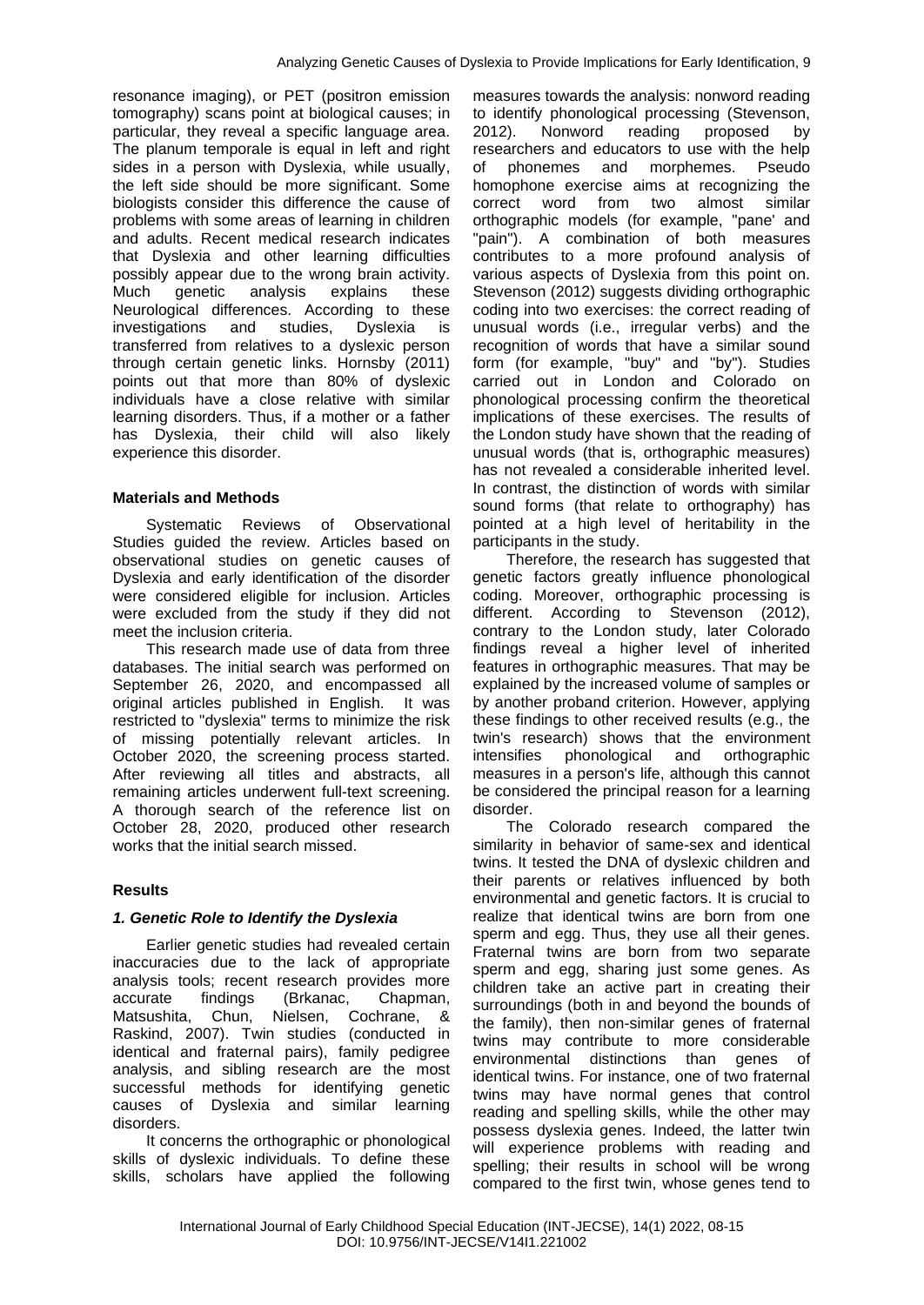resonance imaging), or PET (positron emission tomography) scans point at biological causes; in particular, they reveal a specific language area. The planum temporale is equal in left and right sides in a person with Dyslexia, while usually, the left side should be more significant. Some biologists consider this difference the cause of problems with some areas of learning in children and adults. Recent medical research indicates that Dyslexia and other learning difficulties possibly appear due to the wrong brain activity. Much genetic analysis explains these Neurological differences. According to these investigations and studies, Dyslexia is transferred from relatives to a dyslexic person through certain genetic links. Hornsby (2011) points out that more than 80% of dyslexic individuals have a close relative with similar learning disorders. Thus, if a mother or a father has Dyslexia, their child will also likely experience this disorder.

#### **Materials and Methods**

Systematic Reviews of Observational Studies guided the review. Articles based on observational studies on genetic causes of Dyslexia and early identification of the disorder were considered eligible for inclusion. Articles were excluded from the study if they did not meet the inclusion criteria.

This research made use of data from three databases. The initial search was performed on September 26, 2020, and encompassed all original articles published in English. It was restricted to "dyslexia" terms to minimize the risk of missing potentially relevant articles. In October 2020, the screening process started. After reviewing all titles and abstracts, all remaining articles underwent full-text screening. A thorough search of the reference list on October 28, 2020, produced other research works that the initial search missed.

## **Results**

#### *1. Genetic Role to Identify the Dyslexia*

Earlier genetic studies had revealed certain inaccuracies due to the lack of appropriate analysis tools; recent research provides more accurate findings (Brkanac, Chapman, Matsushita, Chun, Nielsen, Cochrane, & Raskind, 2007). Twin studies (conducted in identical and fraternal pairs), family pedigree analysis, and sibling research are the most successful methods for identifying genetic causes of Dyslexia and similar learning disorders.

It concerns the orthographic or phonological skills of dyslexic individuals. To define these skills, scholars have applied the following

measures towards the analysis: nonword reading to identify phonological processing (Stevenson, 2012). Nonword reading proposed by researchers and educators to use with the help of phonemes and morphemes. Pseudo homophone exercise aims at recognizing the correct word from two almost similar orthographic models (for example, "pane' and "pain"). A combination of both measures contributes to a more profound analysis of various aspects of Dyslexia from this point on. Stevenson (2012) suggests dividing orthographic coding into two exercises: the correct reading of unusual words (i.e., irregular verbs) and the recognition of words that have a similar sound form (for example, "buy" and "by"). Studies carried out in London and Colorado on phonological processing confirm the theoretical implications of these exercises. The results of the London study have shown that the reading of unusual words (that is, orthographic measures) has not revealed a considerable inherited level. In contrast, the distinction of words with similar sound forms (that relate to orthography) has pointed at a high level of heritability in the participants in the study.

Therefore, the research has suggested that genetic factors greatly influence phonological coding. Moreover, orthographic processing is different. According to Stevenson (2012), contrary to the London study, later Colorado findings reveal a higher level of inherited features in orthographic measures. That may be explained by the increased volume of samples or by another proband criterion. However, applying these findings to other received results (e.g., the twin's research) shows that the environment intensifies phonological and orthographic measures in a person's life, although this cannot be considered the principal reason for a learning disorder.

The Colorado research compared the similarity in behavior of same-sex and identical twins. It tested the DNA of dyslexic children and their parents or relatives influenced by both environmental and genetic factors. It is crucial to realize that identical twins are born from one sperm and egg. Thus, they use all their genes. Fraternal twins are born from two separate sperm and egg, sharing just some genes. As children take an active part in creating their surroundings (both in and beyond the bounds of the family), then non-similar genes of fraternal twins may contribute to more considerable environmental distinctions than genes of identical twins. For instance, one of two fraternal twins may have normal genes that control reading and spelling skills, while the other may possess dyslexia genes. Indeed, the latter twin will experience problems with reading and spelling; their results in school will be wrong compared to the first twin, whose genes tend to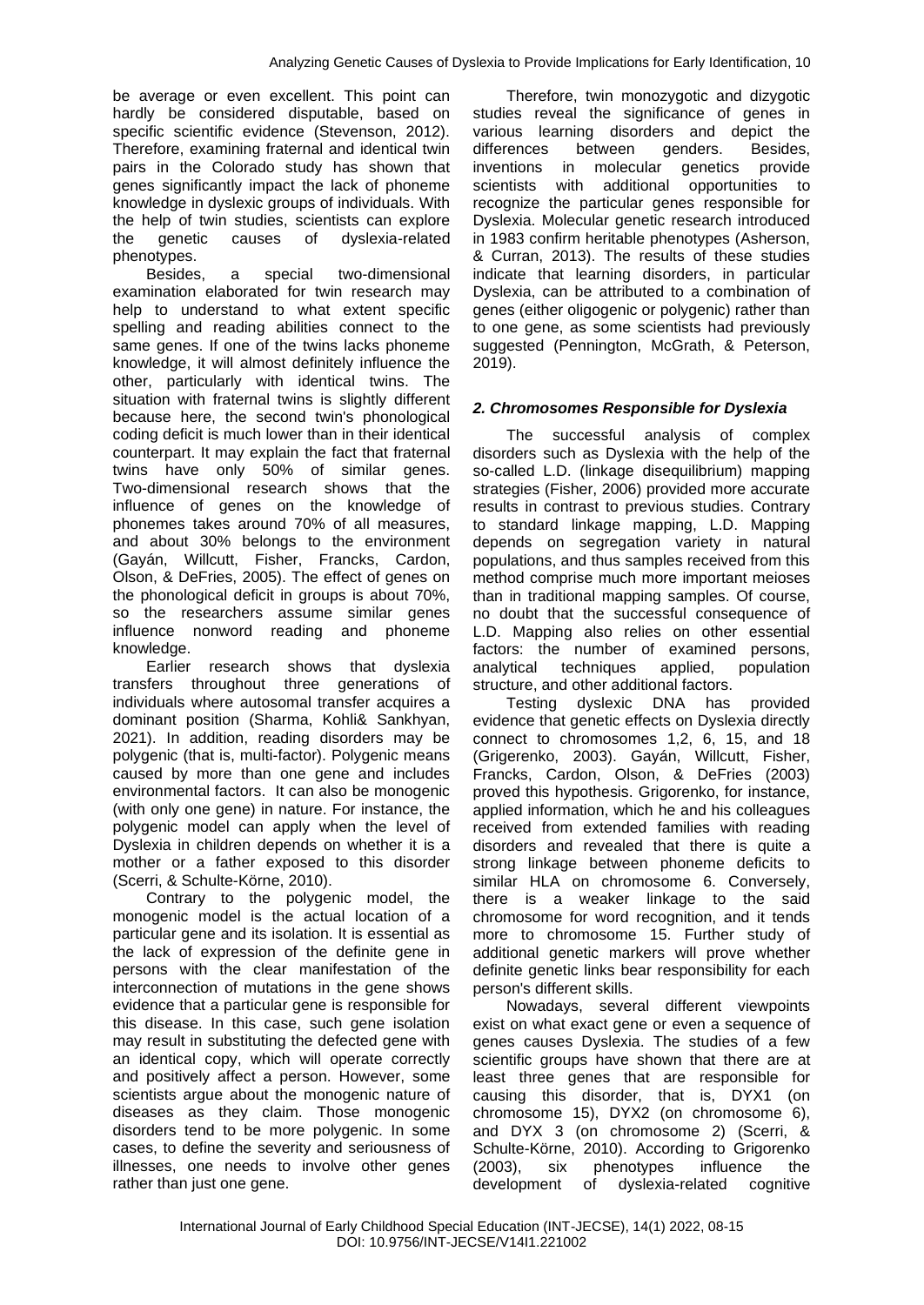be average or even excellent. This point can hardly be considered disputable, based on specific scientific evidence (Stevenson, 2012). Therefore, examining fraternal and identical twin pairs in the Colorado study has shown that genes significantly impact the lack of phoneme knowledge in dyslexic groups of individuals. With the help of twin studies, scientists can explore the genetic causes of dyslexia-related phenotypes.

Besides, a special two-dimensional examination elaborated for twin research may help to understand to what extent specific spelling and reading abilities connect to the same genes. If one of the twins lacks phoneme knowledge, it will almost definitely influence the other, particularly with identical twins. The situation with fraternal twins is slightly different because here, the second twin's phonological coding deficit is much lower than in their identical counterpart. It may explain the fact that fraternal twins have only 50% of similar genes. Two-dimensional research shows that the influence of genes on the knowledge of phonemes takes around 70% of all measures, and about 30% belongs to the environment (Gayán, Willcutt, Fisher, Francks, Cardon, Olson, & DeFries, 2005). The effect of genes on the phonological deficit in groups is about 70%, so the researchers assume similar genes influence nonword reading and phoneme knowledge.

Earlier research shows that dyslexia transfers throughout three generations of individuals where autosomal transfer acquires a dominant position (Sharma, Kohli& Sankhyan, 2021). In addition, reading disorders may be polygenic (that is, multi-factor). Polygenic means caused by more than one gene and includes environmental factors. It can also be monogenic (with only one gene) in nature. For instance, the polygenic model can apply when the level of Dyslexia in children depends on whether it is a mother or a father exposed to this disorder (Scerri, & Schulte-Körne, 2010).

Contrary to the polygenic model, the monogenic model is the actual location of a particular gene and its isolation. It is essential as the lack of expression of the definite gene in persons with the clear manifestation of the interconnection of mutations in the gene shows evidence that a particular gene is responsible for this disease. In this case, such gene isolation may result in substituting the defected gene with an identical copy, which will operate correctly and positively affect a person. However, some scientists argue about the monogenic nature of diseases as they claim. Those monogenic disorders tend to be more polygenic. In some cases, to define the severity and seriousness of illnesses, one needs to involve other genes rather than just one gene.

Therefore, twin monozygotic and dizygotic studies reveal the significance of genes in various learning disorders and depict the differences between genders. Besides, inventions in molecular genetics provide scientists with additional opportunities to recognize the particular genes responsible for Dyslexia. Molecular genetic research introduced in 1983 confirm heritable phenotypes (Asherson, & Curran, 2013). The results of these studies indicate that learning disorders, in particular Dyslexia, can be attributed to a combination of genes (either oligogenic or polygenic) rather than to one gene, as some scientists had previously suggested (Pennington, McGrath, & Peterson, 2019).

## *2. Chromosomes Responsible for Dyslexia*

The successful analysis of complex disorders such as Dyslexia with the help of the so-called L.D. (linkage disequilibrium) mapping strategies (Fisher, 2006) provided more accurate results in contrast to previous studies. Contrary to standard linkage mapping, L.D. Mapping depends on segregation variety in natural populations, and thus samples received from this method comprise much more important meioses than in traditional mapping samples. Of course, no doubt that the successful consequence of L.D. Mapping also relies on other essential factors: the number of examined persons, analytical techniques applied, population structure, and other additional factors.

Testing dyslexic DNA has provided evidence that genetic effects on Dyslexia directly connect to chromosomes 1,2, 6, 15, and 18 (Grigerenko, 2003). Gayán, Willcutt, Fisher, Francks, Cardon, Olson, & DeFries (2003) proved this hypothesis. Grigorenko, for instance, applied information, which he and his colleagues received from extended families with reading disorders and revealed that there is quite a strong linkage between phoneme deficits to similar HLA on chromosome 6. Conversely, there is a weaker linkage to the said chromosome for word recognition, and it tends more to chromosome 15. Further study of additional genetic markers will prove whether definite genetic links bear responsibility for each person's different skills.

Nowadays, several different viewpoints exist on what exact gene or even a sequence of genes causes Dyslexia. The studies of a few scientific groups have shown that there are at least three genes that are responsible for causing this disorder, that is, DYX1 (on chromosome 15), DYX2 (on chromosome  $6$ ), and DYX 3 (on chromosome 2) (Scerri, & Schulte-Körne, 2010). According to Grigorenko (2003), six phenotypes influence the development of dyslexia-related cognitive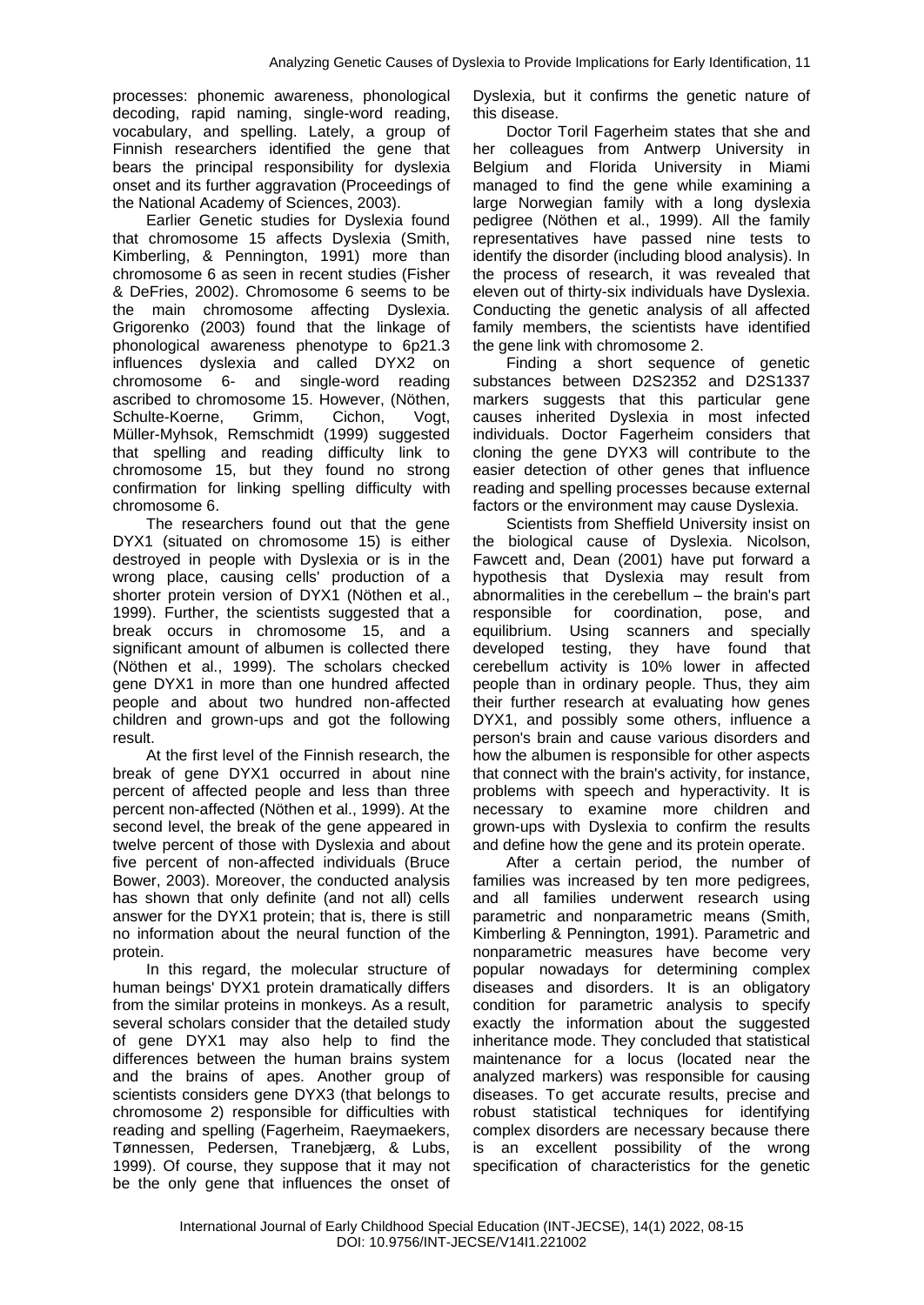processes: phonemic awareness, phonological decoding, rapid naming, single-word reading, vocabulary, and spelling. Lately, a group of Finnish researchers identified the gene that bears the principal responsibility for dyslexia onset and its further aggravation (Proceedings of the National Academy of Sciences, 2003).

Earlier Genetic studies for Dyslexia found that chromosome 15 affects Dyslexia (Smith, Kimberling, & Pennington, 1991) more than chromosome 6 as seen in recent studies (Fisher & DeFries, 2002). Chromosome 6 seems to be the main chromosome affecting Dyslexia. Grigorenko (2003) found that the linkage of phonological awareness phenotype to 6p21.3 influences dyslexia and called DYX2 on chromosome 6- and single-word reading ascribed to chromosome 15. However, (Nöthen, Schulte-Koerne, Grimm, Cichon, Vogt, Müller-Myhsok, Remschmidt (1999) suggested that spelling and reading difficulty link to chromosome 15, but they found no strong confirmation for linking spelling difficulty with chromosome 6.

The researchers found out that the gene DYX1 (situated on chromosome 15) is either destroyed in people with Dyslexia or is in the wrong place, causing cells' production of a shorter protein version of DYX1 (Nöthen et al., 1999). Further, the scientists suggested that a break occurs in chromosome 15, and a significant amount of albumen is collected there (Nöthen et al., 1999). The scholars checked gene DYX1 in more than one hundred affected people and about two hundred non-affected children and grown-ups and got the following result.

At the first level of the Finnish research, the break of gene DYX1 occurred in about nine percent of affected people and less than three percent non-affected (Nöthen et al., 1999). At the second level, the break of the gene appeared in twelve percent of those with Dyslexia and about five percent of non-affected individuals (Bruce Bower, 2003). Moreover, the conducted analysis has shown that only definite (and not all) cells answer for the DYX1 protein; that is, there is still no information about the neural function of the protein.

In this regard, the molecular structure of human beings' DYX1 protein dramatically differs from the similar proteins in monkeys. As a result, several scholars consider that the detailed study of gene DYX1 may also help to find the differences between the human brains system and the brains of apes. Another group of scientists considers gene DYX3 (that belongs to chromosome 2) responsible for difficulties with reading and spelling (Fagerheim, Raeymaekers, Tønnessen, Pedersen, Tranebjærg, & Lubs, 1999). Of course, they suppose that it may not be the only gene that influences the onset of

Dyslexia, but it confirms the genetic nature of this disease.

Doctor Toril Fagerheim states that she and her colleagues from Antwerp University in Belgium and Florida University in Miami managed to find the gene while examining a large Norwegian family with a long dyslexia pedigree (Nöthen et al., 1999). All the family representatives have passed nine tests to identify the disorder (including blood analysis). In the process of research, it was revealed that eleven out of thirty-six individuals have Dyslexia. Conducting the genetic analysis of all affected family members, the scientists have identified the gene link with chromosome 2.

Finding a short sequence of genetic substances between D2S2352 and D2S1337 markers suggests that this particular gene causes inherited Dyslexia in most infected individuals. Doctor Fagerheim considers that cloning the gene DYX3 will contribute to the easier detection of other genes that influence reading and spelling processes because external factors or the environment may cause Dyslexia.

Scientists from Sheffield University insist on the biological cause of Dyslexia. Nicolson, Fawcett and, Dean (2001) have put forward a hypothesis that Dyslexia may result from abnormalities in the cerebellum – the brain's part responsible for coordination, pose, and equilibrium. Using scanners and specially developed testing, they have found that cerebellum activity is 10% lower in affected people than in ordinary people. Thus, they aim their further research at evaluating how genes DYX1, and possibly some others, influence a person's brain and cause various disorders and how the albumen is responsible for other aspects that connect with the brain's activity, for instance, problems with speech and hyperactivity. It is necessary to examine more children and grown-ups with Dyslexia to confirm the results and define how the gene and its protein operate.

After a certain period, the number of families was increased by ten more pedigrees, and all families underwent research using parametric and nonparametric means (Smith, Kimberling & Pennington, 1991). Parametric and nonparametric measures have become very popular nowadays for determining complex diseases and disorders. It is an obligatory condition for parametric analysis to specify exactly the information about the suggested inheritance mode. They concluded that statistical maintenance for a locus (located near the analyzed markers) was responsible for causing diseases. To get accurate results, precise and robust statistical techniques for identifying complex disorders are necessary because there is an excellent possibility of the wrong specification of characteristics for the genetic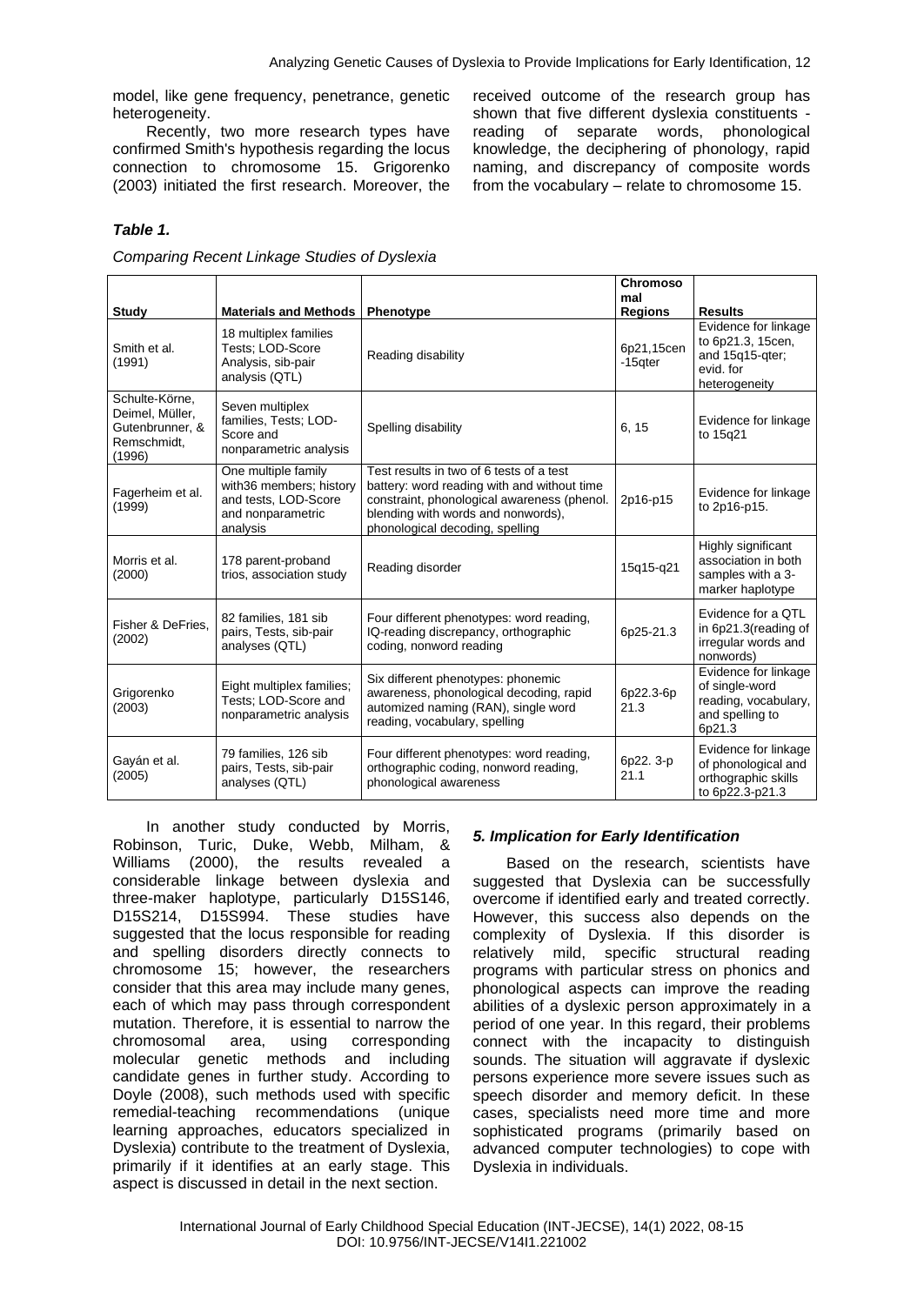model, like gene frequency, penetrance, genetic heterogeneity.

Recently, two more research types have confirmed Smith's hypothesis regarding the locus connection to chromosome 15. Grigorenko (2003) initiated the first research. Moreover, the

received outcome of the research group has shown that five different dyslexia constituents reading of separate words, phonological knowledge, the deciphering of phonology, rapid naming, and discrepancy of composite words from the vocabulary – relate to chromosome 15.

# *Table 1.*

*Comparing Recent Linkage Studies of Dyslexia*

| <b>Study</b>                                                                  | <b>Materials and Methods</b>                                                                            | Phenotype                                                                                                                                                                                                       | Chromoso<br>mal<br><b>Regions</b> | <b>Results</b>                                                                              |
|-------------------------------------------------------------------------------|---------------------------------------------------------------------------------------------------------|-----------------------------------------------------------------------------------------------------------------------------------------------------------------------------------------------------------------|-----------------------------------|---------------------------------------------------------------------------------------------|
| Smith et al.<br>(1991)                                                        | 18 multiplex families<br>Tests: LOD-Score<br>Analysis, sib-pair<br>analysis (QTL)                       | Reading disability                                                                                                                                                                                              | 6p21,15cen<br>-15gter             | Evidence for linkage<br>to 6p21.3, 15cen,<br>and 15q15-qter;<br>evid, for<br>heterogeneity  |
| Schulte-Körne,<br>Deimel, Müller,<br>Gutenbrunner, &<br>Remschmidt,<br>(1996) | Seven multiplex<br>families, Tests; LOD-<br>Score and<br>nonparametric analysis                         | Spelling disability                                                                                                                                                                                             | 6.15                              | Evidence for linkage<br>to 15g21                                                            |
| Fagerheim et al.<br>(1999)                                                    | One multiple family<br>with36 members; history<br>and tests, LOD-Score<br>and nonparametric<br>analysis | Test results in two of 6 tests of a test<br>battery: word reading with and without time<br>constraint, phonological awareness (phenol.<br>blending with words and nonwords),<br>phonological decoding, spelling | 2p16-p15                          | Evidence for linkage<br>to 2p16-p15.                                                        |
| Morris et al.<br>(2000)                                                       | 178 parent-proband<br>trios, association study                                                          | Reading disorder                                                                                                                                                                                                | 15q15-q21                         | Highly significant<br>association in both<br>samples with a 3-<br>marker haplotype          |
| Fisher & DeFries.<br>(2002)                                                   | 82 families, 181 sib<br>pairs, Tests, sib-pair<br>analyses (QTL)                                        | Four different phenotypes: word reading,<br>IQ-reading discrepancy, orthographic<br>coding, nonword reading                                                                                                     | 6p25-21.3                         | Evidence for a QTL<br>in 6p21.3(reading of<br>irregular words and<br>nonwords)              |
| Grigorenko<br>(2003)                                                          | Eight multiplex families;<br>Tests; LOD-Score and<br>nonparametric analysis                             | Six different phenotypes: phonemic<br>awareness, phonological decoding, rapid<br>automized naming (RAN), single word<br>reading, vocabulary, spelling                                                           | 6p22.3-6p<br>21.3                 | Evidence for linkage<br>of single-word<br>reading, vocabulary,<br>and spelling to<br>6p21.3 |
| Gayán et al.<br>(2005)                                                        | 79 families, 126 sib<br>pairs, Tests, sib-pair<br>analyses (QTL)                                        | Four different phenotypes: word reading,<br>orthographic coding, nonword reading,<br>phonological awareness                                                                                                     | 6p22. 3-p<br>21.1                 | Evidence for linkage<br>of phonological and<br>orthographic skills<br>to 6p22.3-p21.3       |

In another study conducted by Morris, Robinson, Turic, Duke, Webb, Milham, & Williams (2000), the results revealed a considerable linkage between dyslexia and three-maker haplotype, particularly D15S146, D15S214, D15S994. These studies have suggested that the locus responsible for reading and spelling disorders directly connects to chromosome 15; however, the researchers consider that this area may include many genes, each of which may pass through correspondent mutation. Therefore, it is essential to narrow the chromosomal area, using corresponding molecular genetic methods and including candidate genes in further study. According to Doyle (2008), such methods used with specific remedial-teaching recommendations (unique learning approaches, educators specialized in Dyslexia) contribute to the treatment of Dyslexia, primarily if it identifies at an early stage. This aspect is discussed in detail in the next section.

## *5. Implication for Early Identification*

Based on the research, scientists have suggested that Dyslexia can be successfully overcome if identified early and treated correctly. However, this success also depends on the complexity of Dyslexia. If this disorder is relatively mild, specific structural reading programs with particular stress on phonics and phonological aspects can improve the reading abilities of a dyslexic person approximately in a period of one year. In this regard, their problems connect with the incapacity to distinguish sounds. The situation will aggravate if dyslexic persons experience more severe issues such as speech disorder and memory deficit. In these cases, specialists need more time and more sophisticated programs (primarily based on advanced computer technologies) to cope with Dyslexia in individuals.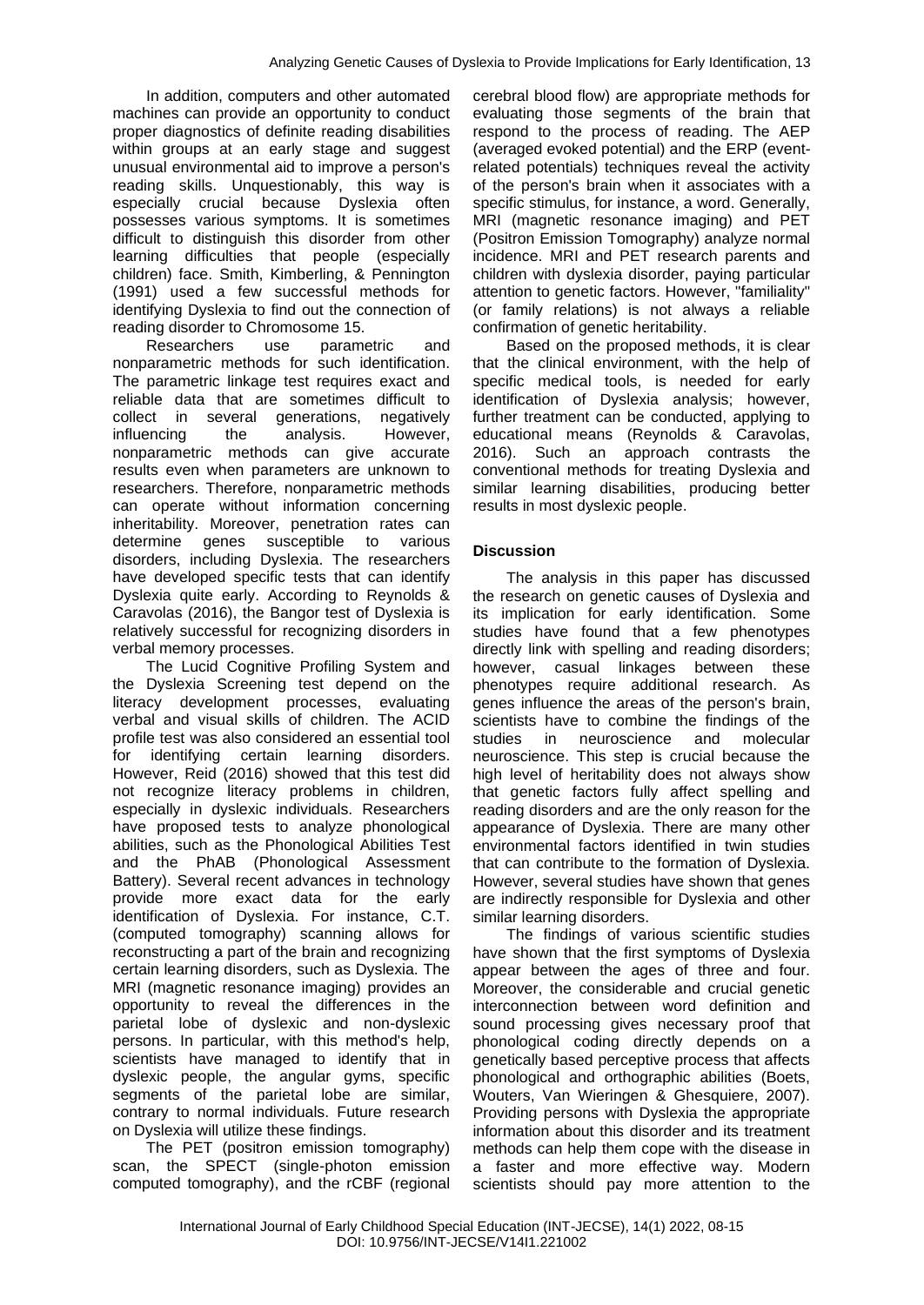In addition, computers and other automated machines can provide an opportunity to conduct proper diagnostics of definite reading disabilities within groups at an early stage and suggest unusual environmental aid to improve a person's reading skills. Unquestionably, this way is especially crucial because Dyslexia often possesses various symptoms. It is sometimes difficult to distinguish this disorder from other learning difficulties that people (especially children) face. Smith, Kimberling, & Pennington (1991) used a few successful methods for identifying Dyslexia to find out the connection of reading disorder to Chromosome 15.

Researchers use parametric and nonparametric methods for such identification. The parametric linkage test requires exact and reliable data that are sometimes difficult to collect in several generations, negatively influencing the analysis. However, nonparametric methods can give accurate results even when parameters are unknown to researchers. Therefore, nonparametric methods can operate without information concerning inheritability. Moreover, penetration rates can determine genes susceptible to various disorders, including Dyslexia. The researchers have developed specific tests that can identify Dyslexia quite early. According to Reynolds & Caravolas (2016), the Bangor test of Dyslexia is relatively successful for recognizing disorders in verbal memory processes.

The Lucid Cognitive Profiling System and the Dyslexia Screening test depend on the literacy development processes, evaluating verbal and visual skills of children. The ACID profile test was also considered an essential tool for identifying certain learning disorders. However, Reid (2016) showed that this test did not recognize literacy problems in children, especially in dyslexic individuals. Researchers have proposed tests to analyze phonological abilities, such as the Phonological Abilities Test and the PhAB (Phonological Assessment Battery). Several recent advances in technology provide more exact data for the early identification of Dyslexia. For instance, C.T. (computed tomography) scanning allows for reconstructing a part of the brain and recognizing certain learning disorders, such as Dyslexia. The MRI (magnetic resonance imaging) provides an opportunity to reveal the differences in the parietal lobe of dyslexic and non-dyslexic persons. In particular, with this method's help, scientists have managed to identify that in dyslexic people, the angular gyms, specific segments of the parietal lobe are similar, contrary to normal individuals. Future research on Dyslexia will utilize these findings.

The PET (positron emission tomography) scan, the SPECT (single-photon emission computed tomography), and the rCBF (regional

cerebral blood flow) are appropriate methods for evaluating those segments of the brain that respond to the process of reading. The AEP (averaged evoked potential) and the ERP (eventrelated potentials) techniques reveal the activity of the person's brain when it associates with a specific stimulus, for instance, a word. Generally, MRI (magnetic resonance imaging) and PET (Positron Emission Tomography) analyze normal incidence. MRI and PET research parents and children with dyslexia disorder, paying particular attention to genetic factors. However, "familiality" (or family relations) is not always a reliable confirmation of genetic heritability.

Based on the proposed methods, it is clear that the clinical environment, with the help of specific medical tools, is needed for early identification of Dyslexia analysis; however, further treatment can be conducted, applying to educational means (Reynolds & Caravolas, 2016). Such an approach contrasts the conventional methods for treating Dyslexia and similar learning disabilities, producing better results in most dyslexic people.

## **Discussion**

The analysis in this paper has discussed the research on genetic causes of Dyslexia and its implication for early identification. Some studies have found that a few phenotypes directly link with spelling and reading disorders; however, casual linkages between these phenotypes require additional research. As genes influence the areas of the person's brain, scientists have to combine the findings of the studies in neuroscience and molecular neuroscience. This step is crucial because the high level of heritability does not always show that genetic factors fully affect spelling and reading disorders and are the only reason for the appearance of Dyslexia. There are many other environmental factors identified in twin studies that can contribute to the formation of Dyslexia. However, several studies have shown that genes are indirectly responsible for Dyslexia and other similar learning disorders.

The findings of various scientific studies have shown that the first symptoms of Dyslexia appear between the ages of three and four. Moreover, the considerable and crucial genetic interconnection between word definition and sound processing gives necessary proof that phonological coding directly depends on a genetically based perceptive process that affects phonological and orthographic abilities (Boets, Wouters, Van Wieringen & Ghesquiere, 2007). Providing persons with Dyslexia the appropriate information about this disorder and its treatment methods can help them cope with the disease in a faster and more effective way. Modern scientists should pay more attention to the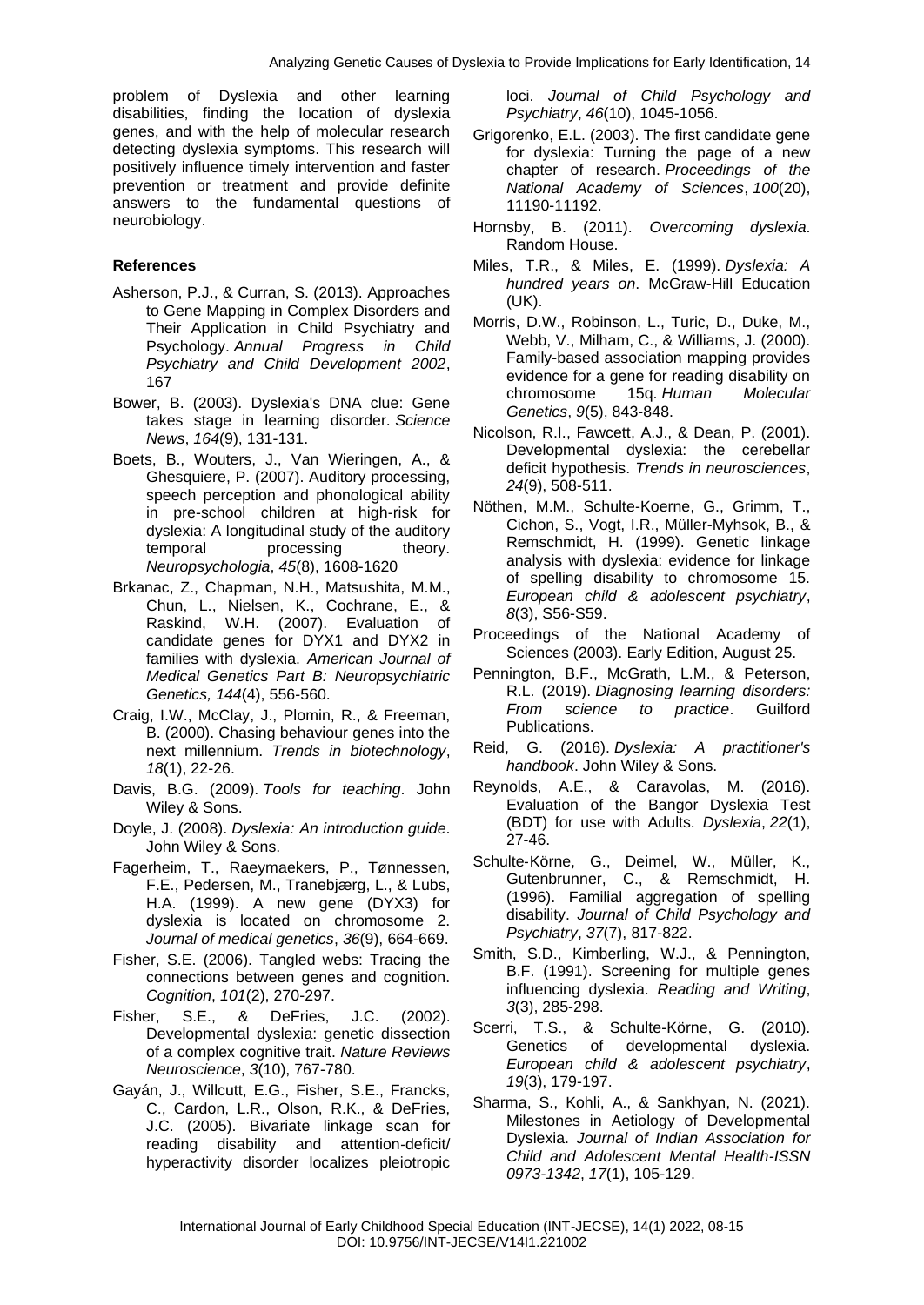problem of Dyslexia and other learning disabilities, finding the location of dyslexia genes, and with the help of molecular research detecting dyslexia symptoms. This research will positively influence timely intervention and faster prevention or treatment and provide definite answers to the fundamental questions of neurobiology.

## **References**

- Asherson, P.J., & Curran, S. (2013). Approaches to Gene Mapping in Complex Disorders and Their Application in Child Psychiatry and Psychology. *Annual Progress in Child Psychiatry and Child Development 2002*, 167
- Bower, B. (2003). Dyslexia's DNA clue: Gene takes stage in learning disorder. *Science News*, *164*(9), 131-131.
- Boets, B., Wouters, J., Van Wieringen, A., & Ghesquiere, P. (2007). Auditory processing, speech perception and phonological ability in pre-school children at high-risk for dyslexia: A longitudinal study of the auditory temporal processing theory. *Neuropsychologia*, *45*(8), 1608-1620
- Brkanac, Z., Chapman, N.H., Matsushita, M.M., Chun, L., Nielsen, K., Cochrane, E., & Raskind, W.H. (2007). Evaluation of candidate genes for DYX1 and DYX2 in families with dyslexia. *American Journal of Medical Genetics Part B: Neuropsychiatric Genetics, 144*(4), 556-560.
- Craig, I.W., McClay, J., Plomin, R., & Freeman, B. (2000). Chasing behaviour genes into the next millennium. *Trends in biotechnology*, *18*(1), 22-26.
- Davis, B.G. (2009). *Tools for teaching*. John Wiley & Sons.
- Doyle, J. (2008). *Dyslexia: An introduction guide*. John Wiley & Sons.
- Fagerheim, T., Raeymaekers, P., Tønnessen, F.E., Pedersen, M., Tranebjærg, L., & Lubs, H.A. (1999). A new gene (DYX3) for dyslexia is located on chromosome 2. *Journal of medical genetics*, *36*(9), 664-669.
- Fisher, S.E. (2006). Tangled webs: Tracing the connections between genes and cognition. *Cognition*, *101*(2), 270-297.
- Fisher, S.E., & DeFries, J.C. (2002). Developmental dyslexia: genetic dissection of a complex cognitive trait. *Nature Reviews Neuroscience*, *3*(10), 767-780.
- Gayán, J., Willcutt, E.G., Fisher, S.E., Francks, C., Cardon, L.R., Olson, R.K., & DeFries, J.C. (2005). Bivariate linkage scan for reading disability and attention‐deficit/ hyperactivity disorder localizes pleiotropic

loci. *Journal of Child Psychology and Psychiatry*, *46*(10), 1045-1056.

- Grigorenko, E.L. (2003). The first candidate gene for dyslexia: Turning the page of a new chapter of research. *Proceedings of the National Academy of Sciences*, *100*(20), 11190-11192.
- Hornsby, B. (2011). *Overcoming dyslexia*. Random House.
- Miles, T.R., & Miles, E. (1999). *Dyslexia: A hundred years on*. McGraw-Hill Education (UK).
- Morris, D.W., Robinson, L., Turic, D., Duke, M., Webb, V., Milham, C., & Williams, J. (2000). Family-based association mapping provides evidence for a gene for reading disability on chromosome 15q. *Human Molecular Genetics*, *9*(5), 843-848.
- Nicolson, R.I., Fawcett, A.J., & Dean, P. (2001). Developmental dyslexia: the cerebellar deficit hypothesis. *Trends in neurosciences*, *24*(9), 508-511.
- Nöthen, M.M., Schulte-Koerne, G., Grimm, T., Cichon, S., Vogt, I.R., Müller-Myhsok, B., & Remschmidt, H. (1999). Genetic linkage analysis with dyslexia: evidence for linkage of spelling disability to chromosome 15. *European child & adolescent psychiatry*, *8*(3), S56-S59.
- Proceedings of the National Academy of Sciences (2003). Early Edition, August 25.
- Pennington, B.F., McGrath, L.M., & Peterson, R.L. (2019). *Diagnosing learning disorders: From science to practice*. Guilford Publications.
- Reid, G. (2016). *Dyslexia: A practitioner's handbook*. John Wiley & Sons.
- Reynolds, A.E., & Caravolas, M. (2016). Evaluation of the Bangor Dyslexia Test (BDT) for use with Adults. *Dyslexia*, *22*(1), 27-46.
- Schulte‐Körne, G., Deimel, W., Müller, K., Gutenbrunner, C., & Remschmidt, H. (1996). Familial aggregation of spelling disability. *Journal of Child Psychology and Psychiatry*, *37*(7), 817-822.
- Smith, S.D., Kimberling, W.J., & Pennington, B.F. (1991). Screening for multiple genes influencing dyslexia. *Reading and Writing*, *3*(3), 285-298.
- Scerri, T.S., & Schulte-Körne, G. (2010). Genetics of developmental dyslexia. *European child & adolescent psychiatry*, *19*(3), 179-197.
- Sharma, S., Kohli, A., & Sankhyan, N. (2021). Milestones in Aetiology of Developmental Dyslexia. *Journal of Indian Association for Child and Adolescent Mental Health-ISSN 0973-1342*, *17*(1), 105-129.